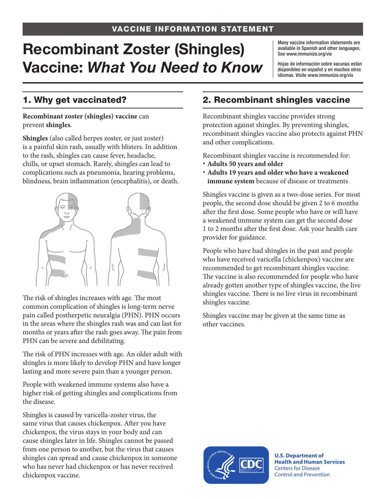# Recombinant Zoster (Shingles) Vaccine: *What You Need to Know*

Many vaccine information statements are available in Spanish and other languages. See [www.immunize.org/vis](http://www.immunize.org/vis)

Hojas de información sobre vacunas están disponibles en español y en muchos otros idiomas. Visite [www.immunize.org/vis](http://www.immunize.org/vis)

## 1. Why get vaccinated?

#### **Recombinant zoster (shingles) vaccine** can prevent **shingles**.

**Shingles** (also called herpes zoster, or just zoster) is a painful skin rash, usually with blisters. In addition to the rash, shingles can cause fever, headache, chills, or upset stomach. Rarely, shingles can lead to complications such as pneumonia, hearing problems, blindness, brain inflammation (encephalitis), or death.



The risk of shingles increases with age. The most common complication of shingles is long-term nerve pain called postherpetic neuralgia (PHN). PHN occurs in the areas where the shingles rash was and can last for months or years after the rash goes away. The pain from PHN can be severe and debilitating.

The risk of PHN increases with age. An older adult with shingles is more likely to develop PHN and have longer lasting and more severe pain than a younger person.

People with weakened immune systems also have a higher risk of getting shingles and complications from the disease.

Shingles is caused by varicella-zoster virus, the same virus that causes chickenpox. After you have chickenpox, the virus stays in your body and can cause shingles later in life. Shingles cannot be passed from one person to another, but the virus that causes shingles can spread and cause chickenpox in someone who has never had chickenpox or has never received chickenpox vaccine.

## 2. Recombinant shingles vaccine

Recombinant shingles vaccine provides strong protection against shingles. By preventing shingles, recombinant shingles vaccine also protects against PHN and other complications.

Recombinant shingles vaccine is recommended for:

- **Adults 50 years and older**
- **Adults 19 years and older who have a weakened immune system** because of disease or treatments

Shingles vaccine is given as a two-dose series. For most people, the second dose should be given 2 to 6 months after the first dose. Some people who have or will have a weakened immune system can get the second dose 1 to 2 months after the first dose. Ask your health care provider for guidance.

People who have had shingles in the past and people who have received varicella (chickenpox) vaccine are recommended to get recombinant shingles vaccine. The vaccine is also recommended for people who have already gotten another type of shingles vaccine, the live shingles vaccine. There is no live virus in recombinant shingles vaccine.

Shingles vaccine may be given at the same time as other vaccines.



**U.S. Department of Health and Human Services**  Centers for Disease Control and Prevention